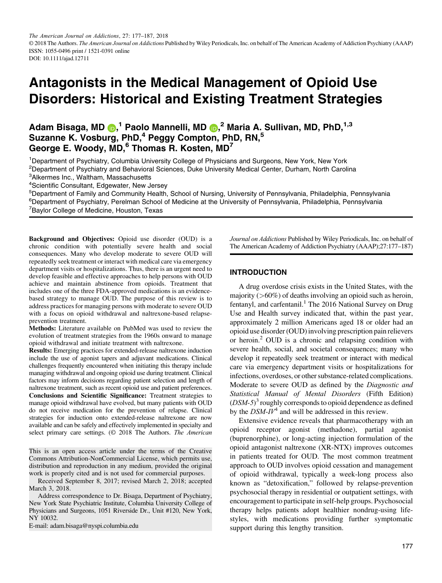# **Antagonists in the Medical Management of Opioid Use Disorders: Historical and Existing Treatment Strategies**

# **Adam Bisaga, MD , <sup>1</sup> Paolo Mannelli, MD [,](http://orcid.org/0000-0002-7834-6138) <sup>2</sup> Maria A. Sullivan, MD, PhD,1,3 Suzanne K. Vosburg, PhD,4 Peggy Compton, PhD, RN,<sup>5</sup> George E. Woody, MD,6 Thomas R. Kosten, MD7**

<sup>1</sup>Department of Psychiatry, Columbia University College of Physicians and Surgeons, New York, New York <sup>2</sup>Department of Psychiatry and Behavioral Sciences, Duke University Medical Center, Durham, North Carolina

3 Alkermes Inc., Waltham, Massachusetts

<sup>4</sup>Scientific Consultant, Edgewater, New Jersey<br><sup>5</sup>Department of Family and Community Health

<sup>5</sup>Department of Family and Community Health, School of Nursing, University of Pennsylvania, Philadelphia, Pennsylvania <sup>6</sup>Department of Psychiatry, Perelman School of Medicine at the University of Pennsylvania, Philadelphia, Pennsylvania <sup>7</sup>Baylor College of Medicine, Houston, Texas

**Background and Objectives:** Opioid use disorder (OUD) is a chronic condition with potentially severe health and social consequences. Many who develop moderate to severe OUD will repeatedly seek treatment or interact with medical care via emergency department visits or hospitalizations. Thus, there is an urgent need to develop feasible and effective approaches to help persons with OUD achieve and maintain abstinence from opioids. Treatment that includes one of the three FDA-approved medications is an evidencebased strategy to manage OUD. The purpose of this review is to address practices for managing persons with moderate to severe OUD with a focus on opioid withdrawal and naltrexone-based relapseprevention treatment.

**Methods:** Literature available on PubMed was used to review the evolution of treatment strategies from the 1960s onward to manage opioid withdrawal and initiate treatment with naltrexone.

**Results:** Emerging practices for extended-release naltrexone induction include the use of agonist tapers and adjuvant medications. Clinical challenges frequently encountered when initiating this therapy include managing withdrawal and ongoing opioid use during treatment. Clinical factors may inform decisions regarding patient selection and length of naltrexone treatment, such as recent opioid use and patient preferences. **Conclusions and Scientific Significance:** Treatment strategies to manage opioid withdrawal have evolved, but many patients with OUD do not receive medication for the prevention of relapse. Clinical strategies for induction onto extended-release naltrexone are now available and can be safely and effectively implemented in specialty and select primary care settings. (© 2018 The Authors. *The American*

This is an open access article under the terms of the Creative Commons Attribution-NonCommercial License, which permits use, distribution and reproduction in any medium, provided the original work is properly cited and is not used for commercial purposes.

Received September 8, 2017; revised March 2, 2018; accepted March 3, 2018.

Address correspondence to Dr. Bisaga, Department of Psychiatry, New York State Psychiatric Institute, Columbia University College of Physicians and Surgeons, 1051 Riverside Dr., Unit #120, New York, NY 10032.

E-mail: adam.bisaga@nyspi.columbia.edu

*Journal on Addictions* Published by Wiley Periodicals, Inc. on behalf of The American Academy of Addiction Psychiatry (AAAP);27:177–187)

#### **INTRODUCTION**

A drug overdose crisis exists in the United States, with the majority  $(>60\%)$  of deaths involving an opioid such as heroin, fentanyl, and carfentanil.<sup>1</sup> The 2016 National Survey on Drug Use and Health survey indicated that, within the past year, approximately 2 million Americans aged 18 or older had an opioid use disorder (OUD) involving prescription pain relievers or heroin.<sup>2</sup> OUD is a chronic and relapsing condition with severe health, social, and societal consequences; many who develop it repeatedly seek treatment or interact with medical care via emergency department visits or hospitalizations for infections, overdoses, or other substance-related complications. Moderate to severe OUD as defined by the *Diagnostic and Statistical Manual of Mental Disorders* (Fifth Edition) (*DSM-5*) <sup>3</sup> roughly corresponds to opioid dependence as defined by the  $DSM-IV^4$  and will be addressed in this review.

Extensive evidence reveals that pharmacotherapy with an opioid receptor agonist (methadone), partial agonist (buprenorphine), or long-acting injection formulation of the opioid antagonist naltrexone (XR-NTX) improves outcomes in patients treated for OUD. The most common treatment approach to OUD involves opioid cessation and management of opioid withdrawal, typically a week-long process also known as "detoxification," followed by relapse-prevention psychosocial therapy in residential or outpatient settings, with encouragement to participate in self-help groups. Psychosocial therapy helps patients adopt healthier nondrug-using lifestyles, with medications providing further symptomatic support during this lengthy transition.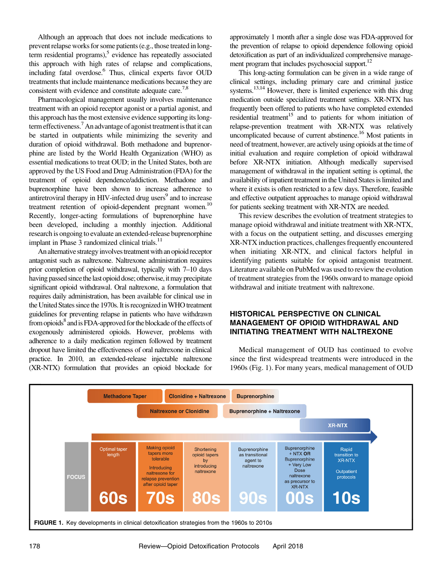Although an approach that does not include medications to prevent relapse works for some patients (e.g., those treated in longterm residential programs), $5$  evidence has repeatedly associated this approach with high rates of relapse and complications, including fatal overdose.<sup>6</sup> Thus, clinical experts favor OUD treatments that include maintenance medications because they are consistent with evidence and constitute adequate care.<sup>7,8</sup>

Pharmacological management usually involves maintenance treatment with an opioid receptor agonist or a partial agonist, and this approach has the most extensive evidence supporting its longterm effectiveness.<sup>7</sup> An advantage of agonist treatment is that it can be started in outpatients while minimizing the severity and duration of opioid withdrawal. Both methadone and buprenorphine are listed by the World Health Organization (WHO) as essential medications to treat OUD; in the United States, both are approved by the US Food and Drug Administration (FDA) for the treatment of opioid dependence/addiction. Methadone and buprenorphine have been shown to increase adherence to antiretroviral therapy in HIV-infected drug users<sup>9</sup> and to increase treatment retention of opioid-dependent pregnant women.<sup>10</sup> Recently, longer-acting formulations of buprenorphine have been developed, including a monthly injection. Additional research is ongoing to evaluate an extended-release buprenorphine implant in Phase 3 randomized clinical trials.<sup>11</sup>

An alternative strategy involves treatment with an opioid receptor antagonist such as naltrexone. Naltrexone administration requires prior completion of opioid withdrawal, typically with 7–10 days having passed since the last opioid dose; otherwise, it may precipitate significant opioid withdrawal. Oral naltrexone, a formulation that requires daily administration, has been available for clinical use in the United States since the 1970s. It is recognized in WHO treatment guidelines for preventing relapse in patients who have withdrawn from opioids<sup>8</sup> and is FDA-approved for the blockade of the effects of exogenously administered opioids. However, problems with adherence to a daily medication regimen followed by treatment dropout have limited the effectiveness of oral naltrexone in clinical practice. In 2010, an extended-release injectable naltrexone (XR-NTX) formulation that provides an opioid blockade for approximately 1 month after a single dose was FDA-approved for the prevention of relapse to opioid dependence following opioid detoxification as part of an individualized comprehensive management program that includes psychosocial support. $^{12}$ 

This long-acting formulation can be given in a wide range of clinical settings, including primary care and criminal justice systems.<sup>13,14</sup> However, there is limited experience with this drug medication outside specialized treatment settings. XR-NTX has frequently been offered to patients who have completed extended residential treatment<sup>15</sup> and to patients for whom initiation of relapse-prevention treatment with XR-NTX was relatively uncomplicated because of current abstinence.<sup>16</sup> Most patients in need of treatment, however, are actively using opioids at the time of initial evaluation and require completion of opioid withdrawal before XR-NTX initiation. Although medically supervised management of withdrawal in the inpatient setting is optimal, the availability of inpatient treatment in the United States is limited and where it exists is often restricted to a few days. Therefore, feasible and effective outpatient approaches to manage opioid withdrawal for patients seeking treatment with XR-NTX are needed.

This review describes the evolution of treatment strategies to manage opioid withdrawal and initiate treatment with XR-NTX, with a focus on the outpatient setting, and discusses emerging XR-NTX induction practices, challenges frequently encountered when initiating XR-NTX, and clinical factors helpful in identifying patients suitable for opioid antagonist treatment. Literature available on PubMed was used to review the evolution of treatment strategies from the 1960s onward to manage opioid withdrawal and initiate treatment with naltrexone.

# **HISTORICAL PERSPECTIVE ON CLINICAL MANAGEMENT OF OPIOID WITHDRAWAL AND INITIATING TREATMENT WITH NALTREXONE**

Medical management of OUD has continued to evolve since the first widespread treatments were introduced in the 1960s (Fig. 1). For many years, medical management of OUD

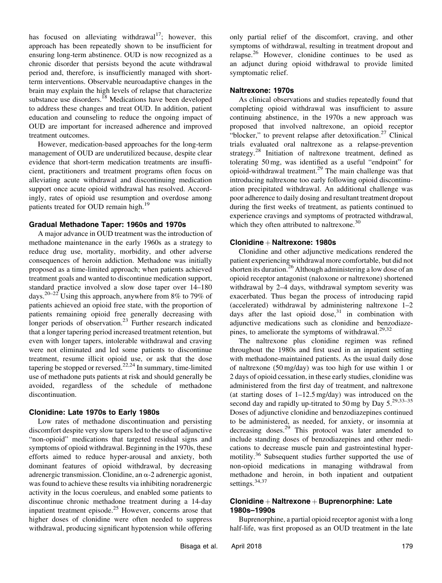has focused on alleviating withdrawal<sup>17</sup>; however, this approach has been repeatedly shown to be insufficient for ensuring long-term abstinence. OUD is now recognized as a chronic disorder that persists beyond the acute withdrawal period and, therefore, is insufficiently managed with shortterm interventions. Observable neuroadaptive changes in the brain may explain the high levels of relapse that characterize substance use disorders.<sup>18</sup> Medications have been developed to address these changes and treat OUD. In addition, patient education and counseling to reduce the ongoing impact of OUD are important for increased adherence and improved treatment outcomes.

However, medication-based approaches for the long-term management of OUD are underutilized because, despite clear evidence that short-term medication treatments are insufficient, practitioners and treatment programs often focus on alleviating acute withdrawal and discontinuing medication support once acute opioid withdrawal has resolved. Accordingly, rates of opioid use resumption and overdose among patients treated for OUD remain high.<sup>19</sup>

#### **Gradual Methadone Taper: 1960s and 1970s**

A major advance in OUD treatment was the introduction of methadone maintenance in the early 1960s as a strategy to reduce drug use, mortality, morbidity, and other adverse consequences of heroin addiction. Methadone was initially proposed as a time-limited approach; when patients achieved treatment goals and wanted to discontinue medication support, standard practice involved a slow dose taper over 14–180 days.20–<sup>22</sup> Using this approach, anywhere from 8% to 79% of patients achieved an opioid free state, with the proportion of patients remaining opioid free generally decreasing with longer periods of observation.<sup>23</sup> Further research indicated that a longer tapering period increased treatment retention, but even with longer tapers, intolerable withdrawal and craving were not eliminated and led some patients to discontinue treatment, resume illicit opioid use, or ask that the dose tapering be stopped or reversed.<sup>22,24</sup> In summary, time-limited use of methadone puts patients at risk and should generally be avoided, regardless of the schedule of methadone discontinuation.

#### **Clonidine: Late 1970s to Early 1980s**

Low rates of methadone discontinuation and persisting discomfort despite very slow tapers led to the use of adjunctive "non-opioid" medications that targeted residual signs and symptoms of opioid withdrawal. Beginning in the 1970s, these efforts aimed to reduce hyper-arousal and anxiety, both dominant features of opioid withdrawal, by decreasing adrenergic transmission. Clonidine, an  $\alpha$ -2 adrenergic agonist, was found to achieve these results via inhibiting noradrenergic activity in the locus coeruleus, and enabled some patients to discontinue chronic methadone treatment during a 14-day inpatient treatment episode.<sup>25</sup> However, concerns arose that higher doses of clonidine were often needed to suppress withdrawal, producing significant hypotension while offering only partial relief of the discomfort, craving, and other symptoms of withdrawal, resulting in treatment dropout and relapse.<sup>26</sup> However, clonidine continues to be used as an adjunct during opioid withdrawal to provide limited symptomatic relief.

#### **Naltrexone: 1970s**

As clinical observations and studies repeatedly found that completing opioid withdrawal was insufficient to assure continuing abstinence, in the 1970s a new approach was proposed that involved naltrexone, an opioid receptor "blocker," to prevent relapse after detoxification.<sup>27</sup> Clinical trials evaluated oral naltrexone as a relapse-prevention strategy.<sup>28</sup> Initiation of naltrexone treatment, defined as tolerating 50 mg, was identified as a useful "endpoint" for opioid-withdrawal treatment.<sup>29</sup> The main challenge was that introducing naltrexone too early following opioid discontinuation precipitated withdrawal. An additional challenge was poor adherence to daily dosing and resultant treatment dropout during the first weeks of treatment, as patients continued to experience cravings and symptoms of protracted withdrawal, which they often attributed to naltrexone.<sup>30</sup>

#### **Clonidine** þ **Naltrexone: 1980s**

Clonidine and other adjunctive medications rendered the patient experiencing withdrawal more comfortable, but did not shorten its duration.<sup>26</sup> Although administering a low dose of an opioid receptor antagonist (naloxone or naltrexone) shortened withdrawal by 2–4 days, withdrawal symptom severity was exacerbated. Thus began the process of introducing rapid (accelerated) withdrawal by administering naltrexone 1–2 days after the last opioid dose, $31$  in combination with adjunctive medications such as clonidine and benzodiazepines, to ameliorate the symptoms of withdrawal. $29,32$ 

The naltrexone plus clonidine regimen was refined throughout the 1980s and first used in an inpatient setting with methadone-maintained patients. As the usual daily dose of naltrexone (50 mg/day) was too high for use within 1 or 2 days of opioid cessation, in these early studies, clonidine was administered from the first day of treatment, and naltrexone (at starting doses of  $1-12.5 \text{ mg/day}$ ) was introduced on the second day and rapidly up-titrated to 50 mg by Day  $5.^{29,33-35}$ Doses of adjunctive clonidine and benzodiazepines continued to be administered, as needed, for anxiety, or insomnia at decreasing doses.<sup>29</sup> This protocol was later amended to include standing doses of benzodiazepines and other medications to decrease muscle pain and gastrointestinal hypermotility.<sup>36</sup> Subsequent studies further supported the use of non-opioid medications in managing withdrawal from methadone and heroin, in both inpatient and outpatient settings.<sup>34,37</sup>

# **Clonidine** + Naltrexone + Buprenorphine: Late **1980s–1990s**

Buprenorphine, a partial opioid receptor agonist with a long half-life, was first proposed as an OUD treatment in the late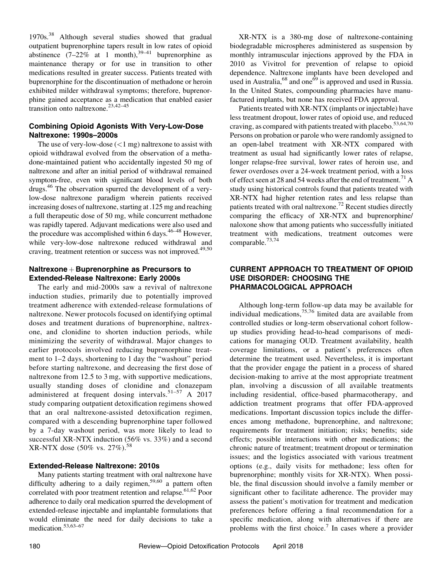1970s.<sup>38</sup> Although several studies showed that gradual outpatient buprenorphine tapers result in low rates of opioid abstinence  $(7-22\%$  at 1 month),<sup>39-41</sup> buprenorphine as maintenance therapy or for use in transition to other medications resulted in greater success. Patients treated with buprenorphine for the discontinuation of methadone or heroin exhibited milder withdrawal symptoms; therefore, buprenorphine gained acceptance as a medication that enabled easier transition onto naltrexone.<sup>23,42-45</sup>

# **Combining Opioid Agonists With Very-Low-Dose Naltrexone: 1990s–2000s**

The use of very-low-dose  $(<1$  mg) naltrexone to assist with opioid withdrawal evolved from the observation of a methadone-maintained patient who accidentally ingested 50 mg of naltrexone and after an initial period of withdrawal remained symptom-free, even with significant blood levels of both drugs.46 The observation spurred the development of a verylow-dose naltrexone paradigm wherein patients received increasing doses of naltrexone, starting at .125 mg and reaching a full therapeutic dose of 50 mg, while concurrent methadone was rapidly tapered. Adjuvant medications were also used and the procedure was accomplished within 6 days. $46-48$  However, while very-low-dose naltrexone reduced withdrawal and craving, treatment retention or success was not improved.<sup>49,50</sup>

#### **Naltrexone** + **Buprenorphine** as Precursors to **Extended-Release Naltrexone: Early 2000s**

The early and mid-2000s saw a revival of naltrexone induction studies, primarily due to potentially improved treatment adherence with extended-release formulations of naltrexone. Newer protocols focused on identifying optimal doses and treatment durations of buprenorphine, naltrexone, and clonidine to shorten induction periods, while minimizing the severity of withdrawal. Major changes to earlier protocols involved reducing buprenorphine treatment to 1–2 days, shortening to 1 day the "washout" period before starting naltrexone, and decreasing the first dose of naltrexone from 12.5 to 3 mg, with supportive medications, usually standing doses of clonidine and clonazepam administered at frequent dosing intervals.<sup>51-57</sup> A 2017 study comparing outpatient detoxification regimens showed that an oral naltrexone-assisted detoxification regimen, compared with a descending buprenorphine taper followed by a 7-day washout period, was more likely to lead to successful XR-NTX induction (56% vs. 33%) and a second XR-NTX dose  $(50\% \text{ vs. } 27\%).$ <sup>58</sup>

## **Extended-Release Naltrexone: 2010s**

Many patients starting treatment with oral naltrexone have difficulty adhering to a daily regimen,<sup>59,60</sup> a pattern often correlated with poor treatment retention and relapse.<sup>61,62</sup> Poor adherence to daily oral medication spurred the development of extended-release injectable and implantable formulations that would eliminate the need for daily decisions to take a medication.<sup>53,63–67</sup>

XR-NTX is a 380-mg dose of naltrexone-containing biodegradable microspheres administered as suspension by monthly intramuscular injections approved by the FDA in 2010 as Vivitrol for prevention of relapse to opioid dependence. Naltrexone implants have been developed and used in Australia,<sup>68</sup> and one<sup>69</sup> is approved and used in Russia. In the United States, compounding pharmacies have manufactured implants, but none has received FDA approval.

Patients treated with XR-NTX (implants or injectable) have less treatment dropout, lower rates of opioid use, and reduced craving, as compared with patients treated with placebo.<sup>53,64,70</sup> Persons on probation or parole who were randomly assigned to an open-label treatment with XR-NTX compared with treatment as usual had significantly lower rates of relapse, longer relapse-free survival, lower rates of heroin use, and fewer overdoses over a 24-week treatment period, with a loss of effect seen at 28 and 54 weeks after the end of treatment.<sup>71</sup> A study using historical controls found that patients treated with XR-NTX had higher retention rates and less relapse than patients treated with oral naltrexone.<sup>72</sup> Recent studies directly comparing the efficacy of XR-NTX and buprenorphine/ naloxone show that among patients who successfully initiated treatment with medications, treatment outcomes were comparable.73,74

# **CURRENT APPROACH TO TREATMENT OF OPIOID USE DISORDER: CHOOSING THE PHARMACOLOGICAL APPROACH**

Although long-term follow-up data may be available for individual medications,  $75,76$  limited data are available from controlled studies or long-term observational cohort followup studies providing head-to-head comparisons of medications for managing OUD. Treatment availability, health coverage limitations, or a patient's preferences often determine the treatment used. Nevertheless, it is important that the provider engage the patient in a process of shared decision-making to arrive at the most appropriate treatment plan, involving a discussion of all available treatments including residential, office-based pharmacotherapy, and addiction treatment programs that offer FDA-approved medications. Important discussion topics include the differences among methadone, buprenorphine, and naltrexone; requirements for treatment initiation; risks; benefits; side effects; possible interactions with other medications; the chronic nature of treatment; treatment dropout or termination issues; and the logistics associated with various treatment options (e.g., daily visits for methadone; less often for buprenorphine; monthly visits for XR-NTX). When possible, the final discussion should involve a family member or significant other to facilitate adherence. The provider may assess the patient's motivation for treatment and medication preferences before offering a final recommendation for a specific medication, along with alternatives if there are problems with the first choice.<sup>7</sup> In cases where a provider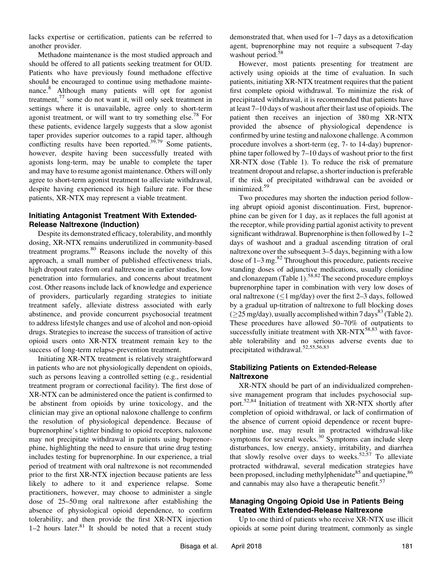lacks expertise or certification, patients can be referred to another provider.

Methadone maintenance is the most studied approach and should be offered to all patients seeking treatment for OUD. Patients who have previously found methadone effective should be encouraged to continue using methadone maintenance.<sup>8</sup> Although many patients will opt for agonist treatment, $^{77}$  some do not want it, will only seek treatment in settings where it is unavailable, agree only to short-term agonist treatment, or will want to try something else.<sup>78</sup> For these patients, evidence largely suggests that a slow agonist taper provides superior outcomes to a rapid taper, although conflicting results have been reported.<sup>39,79</sup> Some patients, however, despite having been successfully treated with agonists long-term, may be unable to complete the taper and may have to resume agonist maintenance. Others will only agree to short-term agonist treatment to alleviate withdrawal, despite having experienced its high failure rate. For these patients, XR-NTX may represent a viable treatment.

# **Initiating Antagonist Treatment With Extended-Release Naltrexone (Induction)**

Despite its demonstrated efficacy, tolerability, and monthly dosing, XR-NTX remains underutilized in community-based treatment programs.<sup>80</sup> Reasons include the novelty of this approach, a small number of published effectiveness trials, high dropout rates from oral naltrexone in earlier studies, low penetration into formularies, and concerns about treatment cost. Other reasons include lack of knowledge and experience of providers, particularly regarding strategies to initiate treatment safely, alleviate distress associated with early abstinence, and provide concurrent psychosocial treatment to address lifestyle changes and use of alcohol and non-opioid drugs. Strategies to increase the success of transition of active opioid users onto XR-NTX treatment remain key to the success of long-term relapse-prevention treatment.

Initiating XR-NTX treatment is relatively straightforward in patients who are not physiologically dependent on opioids, such as persons leaving a controlled setting (e.g., residential treatment program or correctional facility). The first dose of XR-NTX can be administered once the patient is confirmed to be abstinent from opioids by urine toxicology, and the clinician may give an optional naloxone challenge to confirm the resolution of physiological dependence. Because of buprenorphine's tighter binding to opioid receptors, naloxone may not precipitate withdrawal in patients using buprenorphine, highlighting the need to ensure that urine drug testing includes testing for buprenorphine. In our experience, a trial period of treatment with oral naltrexone is not recommended prior to the first XR-NTX injection because patients are less likely to adhere to it and experience relapse. Some practitioners, however, may choose to administer a single dose of 25–50 mg oral naltrexone after establishing the absence of physiological opioid dependence, to confirm tolerability, and then provide the first XR-NTX injection 1–2 hours later. $81$  It should be noted that a recent study

demonstrated that, when used for 1–7 days as a detoxification agent, buprenorphine may not require a subsequent 7-day washout period.<sup>58</sup>

However, most patients presenting for treatment are actively using opioids at the time of evaluation. In such patients, initiating XR-NTX treatment requires that the patient first complete opioid withdrawal. To minimize the risk of precipitated withdrawal, it is recommended that patients have at least 7–10 days of washout after their last use of opioids. The patient then receives an injection of 380 mg XR-NTX provided the absence of physiological dependence is confirmed by urine testing and naloxone challenge. A common procedure involves a short-term (eg, 7- to 14-day) buprenorphine taper followed by 7–10 days of washout prior to the first XR-NTX dose (Table 1). To reduce the risk of premature treatment dropout and relapse, a shorter induction is preferable if the risk of precipitated withdrawal can be avoided or minimized.<sup>59</sup>

Two procedures may shorten the induction period following abrupt opioid agonist discontinuation. First, buprenorphine can be given for 1 day, as it replaces the full agonist at the receptor, while providing partial agonist activity to prevent significant withdrawal. Buprenorphine is then followed by 1–2 days of washout and a gradual ascending titration of oral naltrexone over the subsequent 3–5 days, beginning with a low dose of  $1-3$  mg.<sup>82</sup> Throughout this procedure, patients receive standing doses of adjunctive medications, usually clonidine and clonazepam (Table 1).<sup>58,82</sup> The second procedure employs buprenorphine taper in combination with very low doses of oral naltrexone ( $\leq$ 1 mg/day) over the first 2–3 days, followed by a gradual up-titration of naltrexone to full blocking doses  $(225 \text{ mg/day})$ , usually accomplished within 7 days<sup>83</sup> (Table 2). These procedures have allowed 50–70% of outpatients to successfully initiate treatment with  $XR-NTX^{58,83}$  with favorable tolerability and no serious adverse events due to precipitated withdrawal.<sup>52,55,56,83</sup>

# **Stabilizing Patients on Extended-Release Naltrexone**

XR-NTX should be part of an individualized comprehensive management program that includes psychosocial support.<sup>52,84</sup> Initiation of treatment with XR-NTX shortly after completion of opioid withdrawal, or lack of confirmation of the absence of current opioid dependence or recent buprenorphine use, may result in protracted withdrawal-like symptoms for several weeks.<sup>30</sup> Symptoms can include sleep disturbances, low energy, anxiety, irritability, and diarrhea that slowly resolve over days to weeks. $52,57$  To alleviate protracted withdrawal, several medication strategies have been proposed, including methylphenidate<sup>85</sup> and quetiapine,  $86$ and cannabis may also have a therapeutic benefit.<sup>57</sup>

# **Managing Ongoing Opioid Use in Patients Being Treated With Extended-Release Naltrexone**

Up to one third of patients who receive XR-NTX use illicit opioids at some point during treatment, commonly as single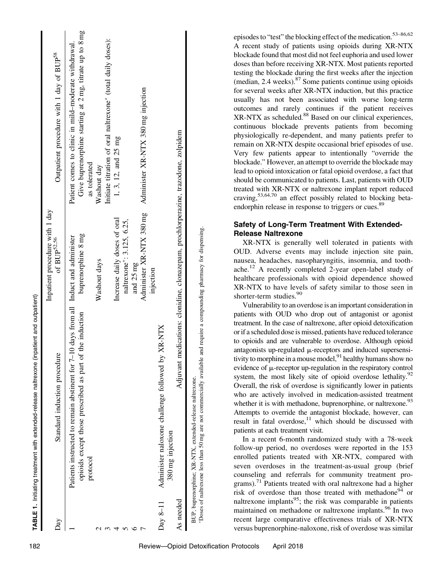| Day        | Standard induction procedure                                                                                                                                                       | Inpatient procedure with 1 day<br>of $BUP^{52,56}$                                 | Outpatient procedure with 1 day of BUP <sup>58</sup>                                                                            |
|------------|------------------------------------------------------------------------------------------------------------------------------------------------------------------------------------|------------------------------------------------------------------------------------|---------------------------------------------------------------------------------------------------------------------------------|
|            | Patients instructed to remain abstinent for $7-10$ days from all Induct and administer<br>of the induction<br>opioids except those prescribed as part<br>protocol                  | buprenorphine 8 mg                                                                 | Give buprenorphine starting at 2 mg, titrate up to 8 mg<br>Patient comes to clinic in mild-moderate withdrawal.<br>as tolerated |
|            |                                                                                                                                                                                    | Washout days                                                                       | Initiate titration of oral naltrexone* (total daily doses):<br>Washout day                                                      |
|            |                                                                                                                                                                                    | Increase daily doses of oral<br>naltrexone*: 3.125, 6.25,                          | 1, 3, 12, and 25 mg                                                                                                             |
|            |                                                                                                                                                                                    | Administer XR-NTX 380 mg<br>and 25 mg<br>injection                                 | Administer XR-NTX 380 mg injection                                                                                              |
| Day $8-11$ | by XR-NTX<br>Administer naloxone challenge followed<br>380 mg injection                                                                                                            |                                                                                    |                                                                                                                                 |
| As needed  |                                                                                                                                                                                    | Adjuvant medications: clonidine, clonazepam, prochlorperazine, trazodone, zolpidem |                                                                                                                                 |
|            | *Doses of naltrexone less than 50 mg are not commercially available and require a compounding pharmacy for dispensing.<br>BUP, buprenorphine; XR-NTX, extended-release naltrexone. |                                                                                    |                                                                                                                                 |

episodes to "test" the blocking effect of the medication.<sup>53–86,62</sup> A recent study of patients using opioids during XR-NTX blockade found that most did not feel euphoria and used lower doses than before receiving XR-NTX. Most patients reported testing the blockade during the first weeks after the injection (median,  $2.4$  weeks). $87$  Some patients continue using opioids for several weeks after XR-NTX induction, but this practice usually has not been associated with worse long-term outcomes and rarely continues if the patient receives XR-NTX as scheduled.<sup>88</sup> Based on our clinical experiences, continuous blockade prevents patients from becoming physiologically re-dependent, and many patients prefer to remain on XR-NTX despite occasional brief episodes of use. Very few patients appear to intentionally "override the blockade." However, an attempt to override the blockade may lead to opioid intoxication or fatal opioid overdose, a fact that should be communicated to patients. Last, patients with OUD treated with XR-NTX or naltrexone implant report reduced craving,53,64,70 an effect possibly related to blocking betaendorphin release in response to triggers or cues.<sup>89</sup>

# **Safety of Long-Term Treatment With Extended-Release Naltrexone**

XR-NTX is generally well tolerated in patients with OUD. Adverse events may include injection site pain, nausea, headaches, nasopharyngitis, insomnia, and toothache.<sup>12</sup> A recently completed 2-year open-label study of healthcare professionals with opioid dependence showed XR-NTX to have levels of safety similar to those seen in shorter-term studies.<sup>90</sup>

Vulnerability to an overdose is an important consideration in patients with OUD who drop out of antagonist or agonist treatment. In the case of naltrexone, after opioid detoxification or if a scheduled dose is missed, patients have reduced tolerance to opioids and are vulnerable to overdose. Although opioid antagonists up-regulated  $\mu$ -receptors and induced supersensitivity to morphine in a mouse model,  $91$  healthy humans show no evidence of  $\mu$ -receptor up-regulation in the respiratory control system, the most likely site of opioid overdose lethality. $92$ Overall, the risk of overdose is significantly lower in patients who are actively involved in medication-assisted treatment whether it is with methadone, buprenorphine, or naltrexone.<sup>93</sup> Attempts to override the antagonist blockade, however, can result in fatal overdose, $11$  which should be discussed with patients at each treatment visit.

In a recent 6-month randomized study with a 78-week follow-up period, no overdoses were reported in the 153 enrolled patients treated with XR-NTX, compared with seven overdoses in the treatment-as-usual group (brief counseling and referrals for community treatment programs).<sup>71</sup> Patients treated with oral naltrexone had a higher risk of overdose than those treated with methadone<sup>94</sup> or naltrexone implants $95$ ; the risk was comparable in patients maintained on methadone or naltrexone implants.<sup>96</sup> In two recent large comparative effectiveness trials of XR-NTX versus buprenorphine-naloxone, risk of overdose was similar

**TABLE 1.**

Initiating treatment with extended-release naltrexone (inpatient and outpatient)

TABLE 1. Initiating treatment with extended-release naltrexone (inpatient and outpatient)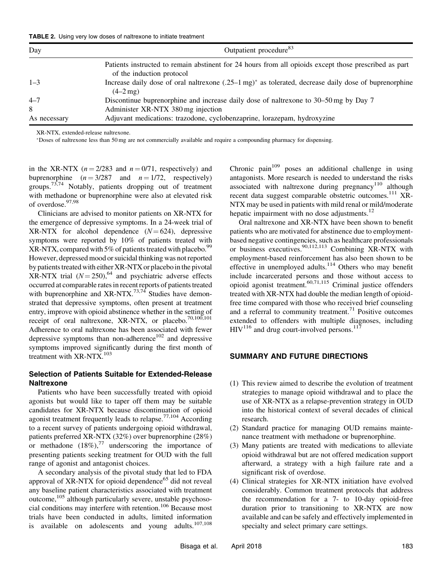| <b>TABLE 2.</b> Using very low doses of naltrexone to initiate treatment |  |  |  |
|--------------------------------------------------------------------------|--|--|--|
|--------------------------------------------------------------------------|--|--|--|

| Day          | Outpatient procedure <sup>83</sup>                                                                                                 |  |  |
|--------------|------------------------------------------------------------------------------------------------------------------------------------|--|--|
|              | Patients instructed to remain abstinent for 24 hours from all opioids except those prescribed as part<br>of the induction protocol |  |  |
| $1 - 3$      | Increase daily dose of oral naltrexone $(.25-1 mg)^*$ as tolerated, decrease daily dose of buprenorphine<br>$(4-2mg)$              |  |  |
| $4 - 7$      | Discontinue bup renorphine and increase daily dose of nature xone to 30–50 mg by Day 7                                             |  |  |
| 8            | Administer XR-NTX 380 mg injection                                                                                                 |  |  |
| As necessary | Adjuvant medications: trazodone, cyclobenzaprine, lorazepam, hydroxyzine                                                           |  |  |

XR-NTX, extended-release naltrexone.

Doses of naltrexone less than 50 mg are not commercially available and require a compounding pharmacy for dispensing.

in the XR-NTX  $(n = 2/283$  and  $n = 0/71$ , respectively) and buprenorphine  $(n = 3/287$  and  $n = 1/72$ , respectively) groups.<sup>73,74</sup> Notably, patients dropping out of treatment with methadone or buprenorphine were also at elevated risk of overdose.97,98

Clinicians are advised to monitor patients on XR-NTX for the emergence of depressive symptoms. In a 24-week trial of  $XR-NTX$  for alcohol dependence  $(N=624)$ , depressive symptoms were reported by 10% of patients treated with  $XR-NTX$ , compared with 5% of patients treated with placebo.<sup>99</sup> However, depressed mood or suicidal thinking was not reported by patients treated with either XR-NTX or placebo in the pivotal XR-NTX trial  $(N=250)$ , <sup>64</sup> and psychiatric adverse effects occurred at comparable rates in recent reports of patients treated with buprenorphine and  $XR$ -NTX.<sup>73,74</sup> Studies have demonstrated that depressive symptoms, often present at treatment entry, improve with opioid abstinence whether in the setting of receipt of oral naltrexone, XR-NTX, or placebo.<sup>70,100,101</sup> Adherence to oral naltrexone has been associated with fewer depressive symptoms than non-adherence<sup>102</sup> and depressive symptoms improved significantly during the first month of treatment with XR-NTX.<sup>103</sup>

#### **Selection of Patients Suitable for Extended-Release Naltrexone**

Patients who have been successfully treated with opioid agonists but would like to taper off them may be suitable candidates for XR-NTX because discontinuation of opioid agonist treatment frequently leads to relapse.<sup>77,104</sup> According to a recent survey of patients undergoing opioid withdrawal, patients preferred XR-NTX (32%) over buprenorphine (28%) or methadone  $(18\%)$ ,<sup>77</sup> underscoring the importance of presenting patients seeking treatment for OUD with the full range of agonist and antagonist choices.

A secondary analysis of the pivotal study that led to FDA approval of  $XR-NTX$  for opioid dependence<sup>65</sup> did not reveal any baseline patient characteristics associated with treatment outcome,<sup>105</sup> although particularly severe, unstable psychosocial conditions may interfere with retention.<sup>106</sup> Because most trials have been conducted in adults, limited information is available on adolescents and young adults. $107,108$ 

Chronic pain<sup>109</sup> poses an additional challenge in using antagonists. More research is needed to understand the risks associated with naltrexone during pregnancy<sup>110</sup> although recent data suggest comparable obstetric outcomes.<sup>111</sup> XR-NTX may be used in patients with mild renal or mild/moderate hepatic impairment with no dose adjustments. $^{12}$ 

Oral naltrexone and XR-NTX have been shown to benefit patients who are motivated for abstinence due to employmentbased negative contingencies, such as healthcare professionals or business executives.<sup>90,112,113</sup> Combining XR-NTX with employment-based reinforcement has also been shown to be effective in unemployed adults.<sup>114</sup> Others who may benefit include incarcerated persons and those without access to opioid agonist treatment. $60,71,115$  Criminal justice offenders treated with XR-NTX had double the median length of opioidfree time compared with those who received brief counseling and a referral to community treatment.<sup>71</sup> Positive outcomes extended to offenders with multiple diagnoses, including  $HIV<sup>116</sup>$  and drug court-involved persons.<sup>117</sup>

#### **SUMMARY AND FUTURE DIRECTIONS**

- (1) This review aimed to describe the evolution of treatment strategies to manage opioid withdrawal and to place the use of XR-NTX as a relapse-prevention strategy in OUD into the historical context of several decades of clinical research.
- (2) Standard practice for managing OUD remains maintenance treatment with methadone or buprenorphine.
- (3) Many patients are treated with medications to alleviate opioid withdrawal but are not offered medication support afterward, a strategy with a high failure rate and a significant risk of overdose.
- (4) Clinical strategies for XR-NTX initiation have evolved considerably. Common treatment protocols that address the recommendation for a 7- to 10-day opioid-free duration prior to transitioning to XR-NTX are now available and can be safely and effectively implemented in specialty and select primary care settings.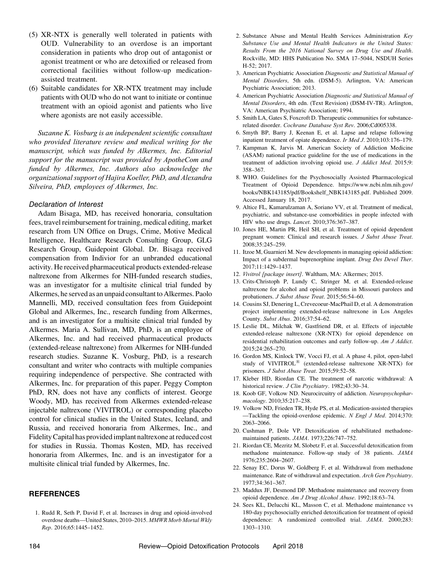- (5) XR-NTX is generally well tolerated in patients with OUD. Vulnerability to an overdose is an important consideration in patients who drop out of antagonist or agonist treatment or who are detoxified or released from correctional facilities without follow-up medicationassisted treatment.
- (6) Suitable candidates for XR-NTX treatment may include patients with OUD who do not want to initiate or continue treatment with an opioid agonist and patients who live where agonists are not easily accessible.

*Suzanne K. Vosburg is an independent scientific consultant who provided literature review and medical writing for the manuscript, which was funded by Alkermes, Inc. Editorial support for the manuscript was provided by ApotheCom and funded by Alkermes, Inc. Authors also acknowledge the organizational support of Hajira Koeller, PhD, and Alexandra Silveira, PhD, employees of Alkermes, Inc.*

#### *Declaration of Interest*

Adam Bisaga, MD, has received honoraria, consultation fees, travel reimbursement for training, medical editing, market research from UN Office on Drugs, Crime, Motive Medical Intelligence, Healthcare Research Consulting Group, GLG Research Group, Guidepoint Global. Dr. Bisaga received compensation from Indivior for an unbranded educational activity. He received pharmaceutical products extended-release naltrexone from Alkermes for NIH-funded research studies, was an investigator for a multisite clinical trial funded by Alkermes, he served as an unpaid consultant to Alkermes. Paolo Mannelli, MD, received consultation fees from Guidepoint Global and Alkermes, Inc., research funding from Alkermes, and is an investigator for a multisite clinical trial funded by Alkermes. Maria A. Sullivan, MD, PhD, is an employee of Alkermes, Inc. and had received pharmaceutical products (extended-release naltrexone) from Alkermes for NIH-funded research studies. Suzanne K. Vosburg, PhD, is a research consultant and writer who contracts with multiple companies requiring independence of perspective. She contracted with Alkermes, Inc. for preparation of this paper. Peggy Compton PhD, RN, does not have any conflicts of interest. George Woody, MD, has received from Alkermes extended-release injectable naltrexone (VIVITROL) or corresponding placebo control for clinical studies in the United States, Iceland, and Russia, and received honoraria from Alkermes, Inc., and Fidelity Capital has provided implant naltrexone at reduced cost for studies in Russia. Thomas Kosten, MD, has received honoraria from Alkermes, Inc. and is an investigator for a multisite clinical trial funded by Alkermes, Inc.

## **REFERENCES**

1. Rudd R, Seth P, David F, et al. Increases in drug and opioid-involved overdose deaths—United States, 2010–2015. *MMWR Morb Mortal Wkly Rep*. 2016;65:1445–1452.

- 2. Substance Abuse and Mental Health Services Administration *Key Substance Use and Mental Health Indicators in the United States: Results From the 2016 National Survey on Drug Use and Health*. Rockville, MD: HHS Publication No. SMA 17–5044, NSDUH Series H-52; 2017.
- 3. American Psychiatric Association *Diagnostic and Statistical Manual of Mental Disorders*, 5th edn. (DSM-5). Arlington, VA: American Psychiatric Association; 2013.
- 4. American Psychiatric Association *Diagnostic and Statistical Manual of Mental Disorders*, 4th edn. (Text Revision) (DSM-IV-TR). Arlington, VA: American Psychiatric Association; 1994.
- 5. Smith LA, Gates S, Foxcroft D. Therapeutic communities for substancerelated disorder. *Cochrane Database Syst Rev*. 2006;Cd005338.
- 6. Smyth BP, Barry J, Keenan E, et al. Lapse and relapse following inpatient treatment of opiate dependence. *Ir Med J*. 2010;103:176–179.
- 7. Kampman K, Jarvis M. American Society of Addiction Medicine (ASAM) national practice guideline for the use of medications in the treatment of addiction involving opioid use. *J Addict Med*. 2015;9: 358–367.
- 8. WHO. Guidelines for the Psychosocially Assisted Pharmacological Treatment of Opioid Dependence. [https://www.ncbi.nlm.nih.gov/](https://www.ncbi.nlm.nih.gov/books/NBK143185/pdf/Bookshelf_NBK143185.pdf) [books/NBK143185/pdf/Bookshelf\\_NBK143185.pdf.](https://www.ncbi.nlm.nih.gov/books/NBK143185/pdf/Bookshelf_NBK143185.pdf) Published 2009. Accessed January 18, 2017.
- 9. Altice FL, Kamarulzaman A, Soriano VV, et al. Treatment of medical, psychiatric, and substance-use comorbidities in people infected with HIV who use drugs. *Lancet*. 2010;376:367–387.
- 10. Jones HE, Martin PR, Heil SH, et al. Treatment of opioid dependent pregnant women: Clinical and research issues. *J Subst Abuse Treat*. 2008;35:245–259.
- 11. Itzoe M, Guarnieri M. New developments in managing opioid addiction: Impact of a subdermal buprenorphine implant. *Drug Des Devel Ther*. 2017;11:1429–1437.
- 12. *Vivitrol [package insert]*. Waltham, MA: Alkermes; 2015.
- 13. Crits-Christoph P, Lundy C, Stringer M, et al. Extended-release naltrexone for alcohol and opioid problems in Missouri parolees and probationers. *J Subst Abuse Treat*. 2015;56:54–60.
- 14. Cousins SJ, Denering L, Crevecoeur-MacPhail D, et al. A demonstration project implementing extended-release naltrexone in Los Angeles County. *Subst Abus*. 2016;37:54–62.
- 15. Leslie DL, Milchak W, Gastfriend DR, et al. Effects of injectable extended-release naltrexone (XR-NTX) for opioid dependence on residential rehabilitation outcomes and early follow-up. *Am J Addict*. 2015;24:265–270.
- 16. Gordon MS, Kinlock TW, Vocci FJ, et al. A phase 4, pilot, open-label study of VIVITROL<sup>®</sup> (extended-release naltrexone XR-NTX) for prisoners. *J Subst Abuse Treat*. 2015;59:52–58.
- 17. Kleber HD, Riordan CE. The treatment of narcotic withdrawal: A historical review. *J Clin Psychiatry*. 1982;43:30–34.
- 18. Koob GF, Volkow ND. Neurocircuitry of addiction. *Neuropsychopharmacology*. 2010;35:217–238.
- 19. Volkow ND, Frieden TR, Hyde PS, et al. Medication-assisted therapies —Tackling the opioid-overdose epidemic. *N Engl J Med*. 2014;370: 2063–2066.
- 20. Cushman P, Dole VP. Detoxification of rehabilitated methadonemaintained patients. *JAMA*. 1973;226:747–752.
- 21. Riordan CE, Mezritz M, Slobetz F, et al. Successful detoxification from methadone maintenance. Follow-up study of 38 patients. *JAMA* 1976;235:2604–2607.
- 22. Senay EC, Dorus W, Goldberg F, et al. Withdrawal from methadone maintenance. Rate of withdrawal and expectation. *Arch Gen Psychiatry*. 1977;34:361–367.
- 23. Maddux JF, Desmond DP. Methadone maintenance and recovery from opioid dependence. *Am J Drug Alcohol Abuse*. 1992;18:63–74.
- 24. Sees KL, Delucchi KL, Masson C, et al. Methadone maintenance vs 180-day psychosocially enriched detoxification for treatment of opioid dependence: A randomized controlled trial. *JAMA*. 2000;283: 1303–1310.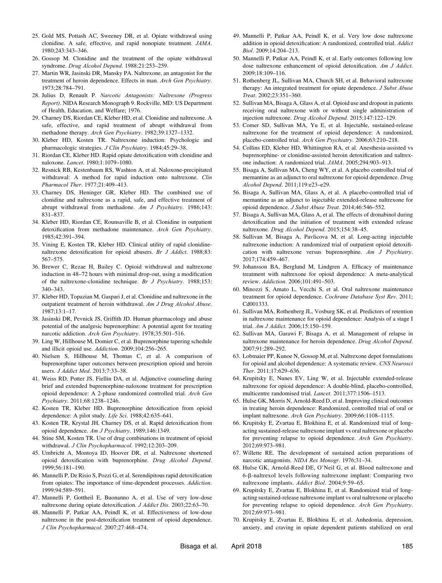- 25. Gold MS, Pottash AC, Sweeney DR, et al. Opiate withdrawal using clonidine. A safe, effective, and rapid nonopiate treatment. *JAMA*. 1980;243:343–346.
- 26. Gossop M. Clonidine and the treatment of the opiate withdrawal syndrome. *Drug Alcohol Depend*. 1988;21:253–259.
- 27. Martin WR, Jasinski DR, Mansky PA. Naltrexone, an antagonist for the treatment of heroin dependence. Effects in man. *Arch Gen Psychiatry*. 1973;28:784–791.
- 28. Julius D, Renault P. *Narcotic Antagonists: Naltrexone (Progress Report)*. NIDA Research Monograph 9. Rockville, MD: US Department of Health, Education, and Welfare; 1976.
- 29. Charney DS, Riordan CE, Kleber HD, et al. Clonidine and naltrexone. A safe, effective, and rapid treatment of abrupt withdrawal from methadone therapy. *Arch Gen Psychiatry*. 1982;39:1327–1332.
- 30. Kleber HD, Kosten TR. Naltrexone induction: Psychologic and pharmacologic strategies. *J Clin Psychiatry*. 1984;45:29–38.
- 31. Riordan CE, Kleber HD. Rapid opiate detoxification with clonidine and naloxone. *Lancet*. 1980;1:1079–1080.
- 32. Resnick RB, Kestenbaum RS, Washton A, et al. Naloxone-precipitated withdrawal: A method for rapid induction onto naltrexone. *Clin Pharmacol Ther*. 1977;21:409–413.
- 33. Charney DS, Heninger GR, Kleber HD. The combined use of clonidine and naltrexone as a rapid, safe, and effective treatment of abrupt withdrawal from methadone. *Am J Psychiatry*. 1986;143: 831–837.
- 34. Kleber HD, Riordan CE, Rounsaville B, et al. Clonidine in outpatient detoxification from methadone maintenance. *Arch Gen Psychiatry*. 1985;42:391–394.
- 35. Vining E, Kosten TR, Kleber HD. Clinical utility of rapid clonidinenaltrexone detoxification for opioid abusers. *Br J Addict*. 1988;83: 567–575.
- 36. Brewer C, Rezae H, Bailey C. Opioid withdrawal and naltrexone induction in 48–72 hours with minimal drop-out, using a modification of the naltrexone-clonidine technique. *Br J Psychiatry*. 1988;153: 340–343.
- 37. Kleber HD, Topazian M, Gaspari J, et al. Clonidine and naltrexone in the outpatient treatment of heroin withdrawal. *Am J Drug Alcohol Abuse*. 1987;13:1–17.
- 38. Jasinski DR, Pevnick JS, Griffith JD. Human pharmacology and abuse potential of the analgesic buprenorphine: A potential agent for treating narcotic addiction. *Arch Gen Psychiatry*. 1978;35:501–516.
- 39. Ling W, Hillhouse M, Domier C, et al. Buprenorphine tapering schedule and illicit opioid use. *Addiction*. 2009;104:256–265.
- 40. Nielsen S, Hillhouse M, Thomas C, et al. A comparison of buprenorphine taper outcomes between prescription opioid and heroin users. *J Addict Med*. 2013;7:33–38.
- 41. Weiss RD, Potter JS, Fiellin DA, et al. Adjunctive counseling during brief and extended buprenorphine-naloxone treatment for prescription opioid dependence: A 2-phase randomized controlled trial. *Arch Gen Psychiatry*. 2011;68:1238–1246.
- 42. Kosten TR, Kleber HD. Buprenorphine detoxification from opioid dependence: A pilot study. *Life Sci*. 1988;42:635–641.
- 43. Kosten TR, Krystal JH, Charney DS, et al. Rapid detoxification from opioid dependence. *Am J Psychiatry*. 1989;146:1349.
- Stine SM, Kosten TR. Use of drug combinations in treatment of opioid withdrawal. *J Clin Psychopharmacol*. 1992;12:203–209.
- 45. Umbricht A, Montoya ID, Hoover DR, et al. Naltrexone shortened opioid detoxification with buprenorphine. *Drug Alcohol Depend*. 1999;56:181–190.
- 46. Mannelli P, De Risio S, Pozzi G, et al. Serendipitous rapid detoxification from opiates: The importance of time-dependent processes. *Addiction*. 1999;94:589–591.
- 47. Mannelli P, Gottheil E, Buonanno A, et al. Use of very low-dose naltrexone during opiate detoxification. *J Addict Dis*. 2003;22:63–70.
- 48. Mannelli P, Patkar AA, Peindl K, et al. Effectiveness of low-dose naltrexone in the post-detoxification treatment of opioid dependence. *J Clin Psychopharmacol*. 2007;27:468–474.
- 49. Mannelli P, Patkar AA, Peindl K, et al. Very low dose naltrexone addition in opioid detoxification: A randomized, controlled trial. *Addict Biol*. 2009;14:204–213.
- 50. Mannelli P, Patkar AA, Peindl K, et al. Early outcomes following low dose naltrexone enhancement of opioid detoxification. *Am J Addict*. 2009;18:109–116.
- 51. Rothenberg JL, Sullivan MA, Church SH, et al. Behavioral naltrexone therapy: An integrated treatment for opiate dependence. *J Subst Abuse Treat*. 2002;23:351–360.
- 52. Sullivan MA, Bisaga A, Glass A, et al. Opioid use and dropout in patients receiving oral naltrexone with or without single administration of injection naltrexone. *Drug Alcohol Depend*. 2015;147:122–129.
- 53. Comer SD, Sullivan MA, Yu E, et al. Injectable, sustained-release naltrexone for the treatment of opioid dependence: A randomized, placebo-controlled trial. *Arch Gen Psychiatry*. 2006;63:210–218.
- 54. Collins ED, Kleber HD, Whittington RA, et al. Anesthesia-assisted vs buprenorphine- or clonidine-assisted heroin detoxification and naltrexone induction: A randomized trial. *JAMA*. 2005;294:903–913.
- 55. Bisaga A, Sullivan MA, Cheng WY, et al. A placebo controlled trial of memantine as an adjunct to oral naltrexone for opioid dependence. *Drug Alcohol Depend*. 2011;119:e23–e29.
- 56. Bisaga A, Sullivan MA, Glass A, et al. A placebo-controlled trial of memantine as an adjunct to injectable extended-release naltrexone for opioid dependence. *J Subst Abuse Treat*. 2014;46:546–552.
- 57. Bisaga A, Sullivan MA, Glass A, et al. The effects of dronabinol during detoxification and the initiation of treatment with extended release naltrexone. *Drug Alcohol Depend*. 2015;154:38–45.
- 58. Sullivan M, Bisaga A, Pavlicova M, et al. Long-acting injectable naltrexone induction: A randomized trial of outpatient opioid detoxification with naltrexone versus buprenorphine. *Am J Psychiatry*. 2017;174:459–467.
- 59. Johansson BA, Berglund M, Lindgren A. Efficacy of maintenance treatment with naltrexone for opioid dependence: A meta-analytical review. *Addiction*. 2006;101:491–503.
- 60. Minozzi S, Amato L, Vecchi S, et al. Oral naltrexone maintenance treatment for opioid dependence. *Cochrane Database Syst Rev*. 2011; Cd001333.
- 61. Sullivan MA, Rothenberg JL, Vosburg SK, et al. Predictors of retention in naltrexone maintenance for opioid dependence: Analysis of a stage I trial. *Am J Addict*. 2006;15:150–159.
- 62. Sullivan MA, Garawi F, Bisaga A, et al. Management of relapse in naltrexone maintenance for heroin dependence. *Drug Alcohol Depend*. 2007;91:289–292.
- 63. Lobmaier PP, Kunoe N, Gossop M, et al. Naltrexone depot formulations for opioid and alcohol dependence: A systematic review. *CNS Neurosci Ther*. 2011;17:629–636.
- 64. Krupitsky E, Nunes EV, Ling W, et al. Injectable extended-release naltrexone for opioid dependence: A double-blind, placebo-controlled, multicentre randomised trial. *Lancet*. 2011;377:1506–1513.
- 65. Hulse GK, Morris N, Arnold-Reed D, et al. Improving clinical outcomes in treating heroin dependence: Randomized, controlled trial of oral or implant naltrexone. *Arch Gen Psychiatry*. 2009;66:1108–1115.
- 66. Krupitsky E, Zvartau E, Blokhina E, et al. Randomized trial of longacting sustained-release naltrexone implant vs oral naltrexone or placebo for preventing relapse to opioid dependence. *Arch Gen Psychiatry*. 2012;69:973–981.
- 67. Willette RE. The development of sustained action preparations of narcotic antagonists. *NIDA Res Monogr*. 1976;31–34.
- 68. Hulse GK, Arnold-Reed DE, O'Neil G, et al. Blood naltrexone and 6-b-naltrexol levels following naltrexone implant: Comparing two naltrexone implants. *Addict Biol*. 2004;9:59–65.
- 69. Krupitsky E, Zvartau E, Blokhina E, et al. Randomized trial of longacting sustained-release naltrexone implant vs oral naltrexone or placebo for preventing relapse to opioid dependence. *Arch Gen Psychiatry*. 2012;69:973–981.
- 70. Krupitsky E, Zvartau E, Blokhina E, et al. Anhedonia, depression, anxiety, and craving in opiate dependent patients stabilized on oral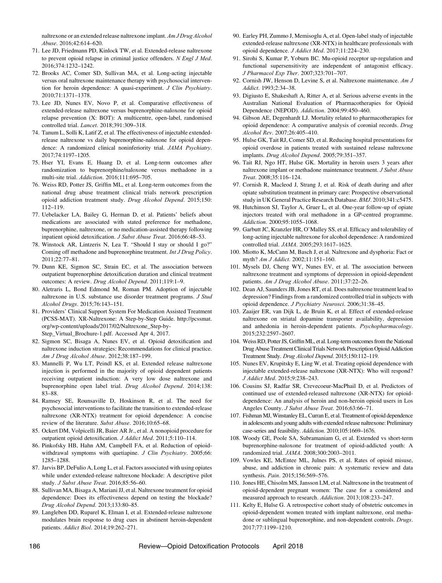naltrexone or an extended release naltrexone implant. *Am J Drug Alcohol Abuse*. 2016;42:614–620.

- 71. Lee JD, Friedmann PD, Kinlock TW, et al. Extended-release naltrexone to prevent opioid relapse in criminal justice offenders. *N Engl J Med*. 2016;374:1232–1242.
- 72. Brooks AC, Comer SD, Sullivan MA, et al. Long-acting injectable versus oral naltrexone maintenance therapy with psychosocial intervention for heroin dependence: A quasi-experiment. *J Clin Psychiatry*. 2010;71:1371–1378.
- 73. Lee JD, Nunes EV, Novo P, et al. Comparative effectiveness of extended-release naltrexone versus buprenorphine-naloxone for opioid relapse prevention (X: BOT): A multicentre, open-label, randomised controlled trial. *Lancet*. 2018;391:309–318.
- 74. Tanum L, Solli K, Latif Z, et al. The effectiveness of injectable extendedrelease naltrexone vs daily buprenorphine-naloxone for opioid dependence: A randomized clinical noninferiority trial. *JAMA Psychiatry*. 2017;74:1197–1205.
- 75. Hser YI, Evans E, Huang D, et al. Long-term outcomes after randomization to buprenorphine/naloxone versus methadone in a multi-site trial. *Addiction*. 2016;111:695–705.
- 76. Weiss RD, Potter JS, Griffin ML, et al. Long-term outcomes from the national drug abuse treatment clinical trials network prescription opioid addiction treatment study. *Drug Alcohol Depend*. 2015;150: 112–119.
- 77. Uebelacker LA, Bailey G, Herman D, et al. Patients' beliefs about medications are associated with stated preference for methadone, buprenorphine, naltrexone, or no medication-assisted therapy following inpatient opioid detoxification. *J Subst Abuse Treat*. 2016;66:48–53.
- 78. Winstock AR, Lintzeris N, Lea T. "Should I stay or should I go?" Coming off methadone and buprenorphine treatment. *Int J Drug Policy*. 2011;22:77–81.
- 79. Dunn KE, Sigmon SC, Strain EC, et al. The association between outpatient buprenorphine detoxification duration and clinical treatment outcomes: A review. *Drug Alcohol Depend*. 2011;119:1–9.
- 80. Aletraris L, Bond Edmond M, Roman PM. Adoption of injectable naltrexone in U.S. substance use disorder treatment programs. *J Stud Alcohol Drugs*. 2015;76:143–151.
- 81. Providers' Clinical Support System For Medication Assisted Treatment (PCSS-MAT). XR-Naltrexone: A Step-by-Step Guide. [http://pcssmat.](http://pcssmat.org/wp-content/uploads/2017/02/Naltrexone_Step-by-Step_Virtual_Brochure-1.pdf) [org/wp-content/uploads/2017/02/Naltrexone\\_Step-by-](http://pcssmat.org/wp-content/uploads/2017/02/Naltrexone_Step-by-Step_Virtual_Brochure-1.pdf)[Step\\_Virtual\\_Brochure-1.pdf](http://pcssmat.org/wp-content/uploads/2017/02/Naltrexone_Step-by-Step_Virtual_Brochure-1.pdf). Accessed Apr 4, 2017.
- 82. Sigmon SC, Bisaga A, Nunes EV, et al. Opioid detoxification and naltrexone induction strategies: Recommendations for clinical practice. *Am J Drug Alcohol Abuse*. 2012;38:187–199.
- 83. Mannelli P, Wu LT, Peindl KS, et al. Extended release naltrexone injection is performed in the majority of opioid dependent patients receiving outpatient induction: A very low dose naltrexone and buprenorphine open label trial. *Drug Alcohol Depend*. 2014;138: 83–88.
- 84. Ramsey SE, Rounsaville D, Hoskinson R, et al. The need for psychosocial interventions to facilitate the transition to extended-release naltrexone (XR-NTX) treatment for opioid dependence: A concise review of the literature. *Subst Abuse*. 2016;10:65–68.
- 85. Ockert DM, Volpicelli JR, Baier AR Jr., et al. A nonopioid procedure for outpatient opioid detoxification. *J Addict Med*. 2011;5:110–114.
- 86. Pinkofsky HB, Hahn AM, Campbell FA, et al. Reduction of opioidwithdrawal symptoms with quetiapine. *J Clin Psychiatry*. 2005;66: 1285–1288.
- 87. Jarvis BP, DeFulio A, Long L, et al. Factors associated with using opiates while under extended-release naltrexone blockade: A descriptive pilot study. *J Subst Abuse Treat*. 2016;85:56–60.
- 88. Sullivan MA, Bisaga A, Mariani JJ, et al. Naltrexone treatment for opioid dependence: Does its effectiveness depend on testing the blockade? *Drug Alcohol Depend*. 2013;133:80–85.
- 89. Langleben DD, Ruparel K, Elman I, et al. Extended-release naltrexone modulates brain response to drug cues in abstinent heroin-dependent patients. *Addict Biol*. 2014;19:262–271.
- 90. Earley PH, Zummo J, Memisoglu A, et al. Open-label study of injectable extended-release naltrexone (XR-NTX) in healthcare professionals with opioid dependence. *J Addict Med*. 2017;11:224–230.
- 91. Sirohi S, Kumar P, Yoburn BC. Mu-opioid receptor up-regulation and functional supersensitivity are independent of antagonist efficacy. *J Pharmacol Exp Ther*. 2007;323:701–707.
- 92. Cornish JW, Henson D, Levine S, et al. Naltrexone maintenance. *Am J Addict*. 1993;2:34–38.
- 93. Digiusto E, Shakeshaft A, Ritter A, et al. Serious adverse events in the Australian National Evaluation of Pharmacotherapies for Opioid Dependence (NEPOD). *Addiction*. 2004;99:450–460.
- 94. Gibson AE, Degenhardt LJ. Mortality related to pharmacotherapies for opioid dependence: A comparative analysis of coronial records. *Drug Alcohol Rev*. 2007;26:405–410.
- 95. Hulse GK, Tait RJ, Comer SD, et al. Reducing hospital presentations for opioid overdose in patients treated with sustained release naltrexone implants. *Drug Alcohol Depend*. 2005;79:351–357.
- 96. Tait RJ, Ngo HT, Hulse GK. Mortality in heroin users 3 years after naltrexone implant or methadone maintenance treatment. *J Subst Abuse Treat*. 2008;35:116–124.
- 97. Cornish R, Macleod J, Strang J, et al. Risk of death during and after opiate substitution treatment in primary care: Prospective observational study in UK General Practice Research Database. *BMJ*. 2010;341:c5475.
- 98. Hutchinson SJ, Taylor A, Gruer L, et al. One-year follow-up of opiate injectors treated with oral methadone in a GP-centred programme. *Addiction*. 2000;95:1055–1068.
- 99. Garbutt JC, Kranzler HR, O'Malley SS, et al. Efficacy and tolerability of long-acting injectable naltrexone for alcohol dependence: A randomized controlled trial. *JAMA*. 2005;293:1617–1625.
- 100. Miotto K, McCann M, Basch J, et al. Naltrexone and dysphoria: Fact or myth? *Am J Addict*. 2002;11:151–160.
- 101. Mysels DJ, Cheng WY, Nunes EV, et al. The association between naltrexone treatment and symptoms of depression in opioid-dependent patients. *Am J Drug Alcohol Abuse*. 2011;37:22–26.
- 102. Dean AJ, Saunders JB, Jones RT, et al. Does naltrexone treatment lead to depression? Findings from a randomized controlled trial in subjects with opioid dependence. *J Psychiatry Neurosci*. 2006;31:38–45.
- 103. Zaaijer ER, van Dijk L, de Bruin K, et al. Effect of extended-release naltrexone on striatal dopamine transporter availability, depression and anhedonia in heroin-dependent patients. *Psychopharmacology*. 2015;232:2597–2607.
- 104. Weiss RD, Potter JS, GriffinML, et al. Long-term outcomes from the National Drug Abuse Treatment Clinical Trials Network Prescription Opioid Addiction Treatment Study. *Drug Alcohol Depend*. 2015;150:112–119.
- 105. Nunes EV, Krupitsky E, Ling W, et al. Treating opioid dependence with injectable extended-release naltrexone (XR-NTX): Who will respond? *J Addict Med*. 2015;9:238–243.
- 106. Cousins SJ, Radfar SR, Crevecoeur-MacPhail D, et al. Predictors of continued use of extended-released naltrexone (XR-NTX) for opioiddependence: An analysis of heroin and non-heroin opioid users in Los Angeles County. *J Subst Abuse Treat*. 2016;63:66–71.
- 107. Fishman MJ,Winstanley EL, Curran E, et al. Treatment of opioid dependence in adolescents and young adults with extended release naltrexone: Preliminary case-series and feasibility. *Addiction*. 2010;105:1669–1676.
- 108. Woody GE, Poole SA, Subramaniam G, et al. Extended vs short-term buprenorphine-naloxone for treatment of opioid-addicted youth: A randomized trial. *JAMA*. 2008;300:2003–2011.
- 109. Vowles KE, McEntee ML, Julnes PS, et al. Rates of opioid misuse, abuse, and addiction in chronic pain: A systematic review and data synthesis. *Pain*. 2015;156:569–576.
- 110. Jones HE, Chisolm MS, Jansson LM, et al. Naltrexone in the treatment of opioid-dependent pregnant women: The case for a considered and measured approach to research. *Addiction*. 2013;108:233–247.
- 111. Kelty E, Hulse G. A retrospective cohort study of obstetric outcomes in opioid-dependent women treated with implant naltrexone, oral methadone or sublingual buprenorphine, and non-dependent controls. *Drugs*. 2017;77:1199–1210.